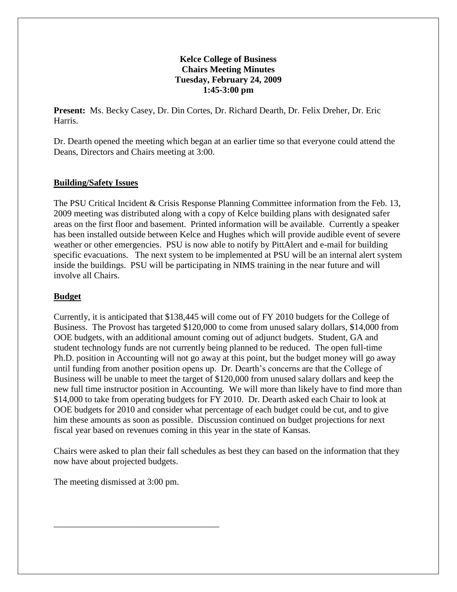## **Kelce College of Business Chairs Meeting Minutes Tuesday, February 24, 2009 1:45-3:00 pm**

**Present:** Ms. Becky Casey, Dr. Din Cortes, Dr. Richard Dearth, Dr. Felix Dreher, Dr. Eric Harris.

Dr. Dearth opened the meeting which began at an earlier time so that everyone could attend the Deans, Directors and Chairs meeting at 3:00.

## **Building/Safety Issues**

The PSU Critical Incident & Crisis Response Planning Committee information from the Feb. 13, 2009 meeting was distributed along with a copy of Kelce building plans with designated safer areas on the first floor and basement. Printed information will be available. Currently a speaker has been installed outside between Kelce and Hughes which will provide audible event of severe weather or other emergencies. PSU is now able to notify by PittAlert and e-mail for building specific evacuations. The next system to be implemented at PSU will be an internal alert system inside the buildings. PSU will be participating in NIMS training in the near future and will involve all Chairs.

## **Budget**

Currently, it is anticipated that \$138,445 will come out of FY 2010 budgets for the College of Business. The Provost has targeted \$120,000 to come from unused salary dollars, \$14,000 from OOE budgets, with an additional amount coming out of adjunct budgets. Student, GA and student technology funds are not currently being planned to be reduced. The open full-time Ph.D. position in Accounting will not go away at this point, but the budget money will go away until funding from another position opens up. Dr. Dearth's concerns are that the College of Business will be unable to meet the target of \$120,000 from unused salary dollars and keep the new full time instructor position in Accounting. We will more than likely have to find more than \$14,000 to take from operating budgets for FY 2010. Dr. Dearth asked each Chair to look at OOE budgets for 2010 and consider what percentage of each budget could be cut, and to give him these amounts as soon as possible. Discussion continued on budget projections for next fiscal year based on revenues coming in this year in the state of Kansas.

Chairs were asked to plan their fall schedules as best they can based on the information that they now have about projected budgets.

The meeting dismissed at 3:00 pm.

\_\_\_\_\_\_\_\_\_\_\_\_\_\_\_\_\_\_\_\_\_\_\_\_\_\_\_\_\_\_\_\_\_\_\_\_\_